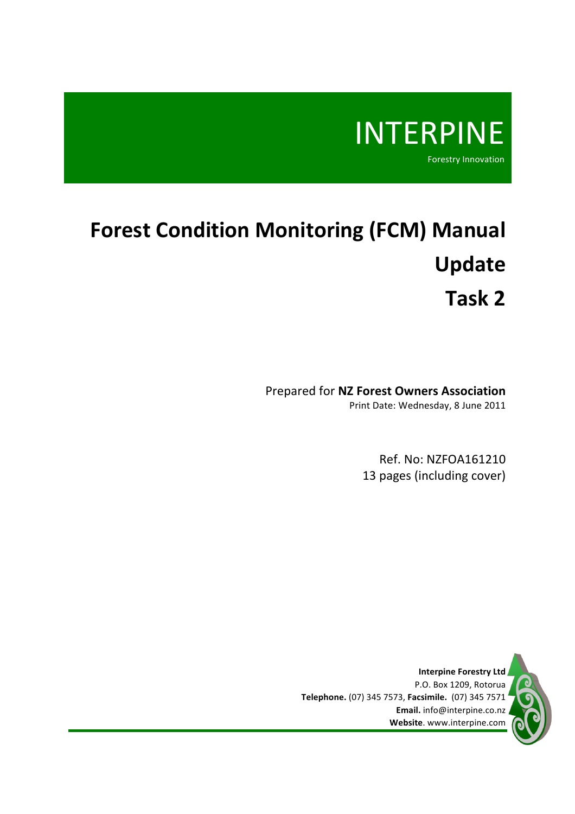

# **Forest Condition Monitoring (FCM) Manual Update Task!2**

### Prepared for **NZ Forest Owners Association**

Print Date: Wednesday, 8 June 2011

Ref. No: NZFOA161210 13 pages (including cover)

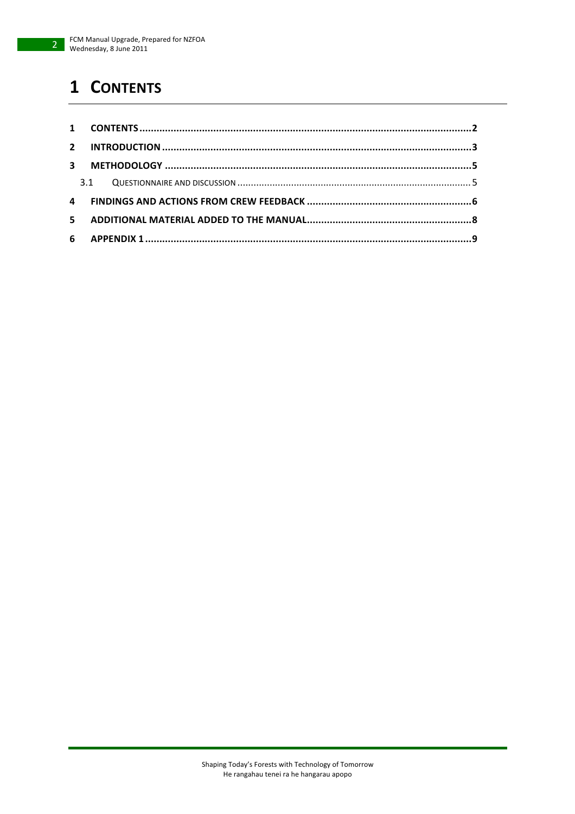# 1 CONTENTS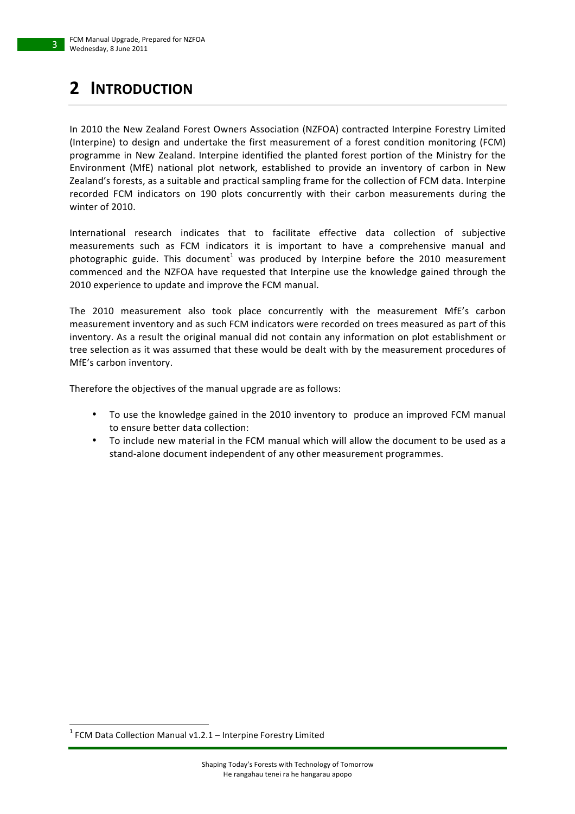## **2 INTRODUCTION**

In 2010 the New Zealand Forest Owners Association (NZFOA) contracted Interpine Forestry Limited (Interpine) to design and undertake the first measurement of a forest condition monitoring (FCM) programme in New Zealand. Interpine identified the planted forest portion of the Ministry for the Environment (MfE) national plot network, established to provide an inventory of carbon in New Zealand's forests, as a suitable and practical sampling frame for the collection of FCM data. Interpine recorded FCM indicators on 190 plots concurrently with their carbon measurements during the winter of 2010.

International research indicates that to facilitate effective data collection of subjective measurements such as FCM indicators it is important to have a comprehensive manual and photographic guide. This document<sup>1</sup> was produced by Interpine before the 2010 measurement commenced and the NZFOA have requested that Interpine use the knowledge gained through the 2010 experience to update and improve the FCM manual.

The 2010 measurement also took place concurrently with the measurement MfE's carbon measurement inventory and as such FCM indicators were recorded on trees measured as part of this inventory. As a result the original manual did not contain any information on plot establishment or tree selection as it was assumed that these would be dealt with by the measurement procedures of MfE's carbon inventory.

Therefore the objectives of the manual upgrade are as follows:

- To use the knowledge gained in the 2010 inventory to produce an improved FCM manual to ensure better data collection:
- To include new material in the FCM manual which will allow the document to be used as a stand-alone document independent of any other measurement programmes.

 $1$  FCM Data Collection Manual v1.2.1 – Interpine Forestry Limited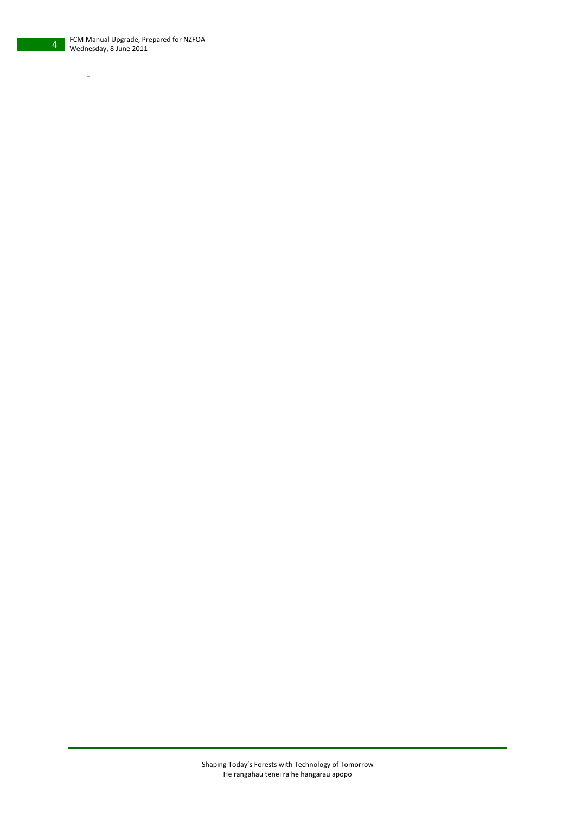FCM Manual Upgrade, Prepared for NZFOA<br>Wednesday, 8 June 2011

 $\overline{4}$ 

 $\mathbb{Z}^d$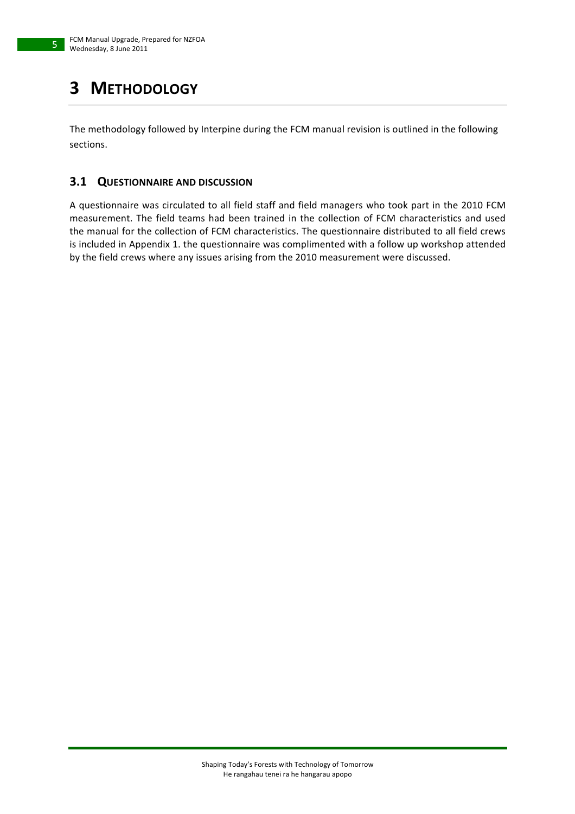# **3 METHODOLOGY**

The methodology followed by Interpine during the FCM manual revision is outlined in the following sections.

### **3.1 QUESTIONNAIRE AND DISCUSSION**

A questionnaire was circulated to all field staff and field managers who took part in the 2010 FCM measurement. The field teams had been trained in the collection of FCM characteristics and used the manual for the collection of FCM characteristics. The questionnaire distributed to all field crews is included in Appendix 1. the questionnaire was complimented with a follow up workshop attended by the field crews where any issues arising from the 2010 measurement were discussed.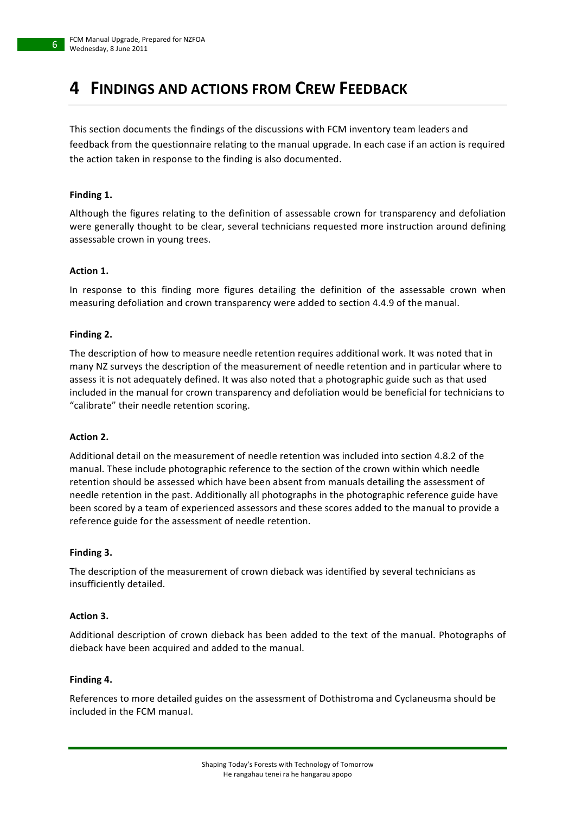### **4 FINDINGS!AND!ACTIONS!FROM!CREW!FEEDBACK**

This section documents the findings of the discussions with FCM inventory team leaders and feedback from the questionnaire relating to the manual upgrade. In each case if an action is required the action taken in response to the finding is also documented.

### **Finding 1.**

Although the figures relating to the definition of assessable crown for transparency and defoliation were generally thought to be clear, several technicians requested more instruction around defining assessable crown in young trees.

### Action 1.

In response to this finding more figures detailing the definition of the assessable crown when measuring defoliation and crown transparency were added to section 4.4.9 of the manual.

### **Finding 2.**

The description of how to measure needle retention requires additional work. It was noted that in many NZ surveys the description of the measurement of needle retention and in particular where to assess it is not adequately defined. It was also noted that a photographic guide such as that used included in the manual for crown transparency and defoliation would be beneficial for technicians to "calibrate" their needle retention scoring.

### Action 2.

Additional detail on the measurement of needle retention was included into section 4.8.2 of the manual. These include photographic reference to the section of the crown within which needle retention should be assessed which have been absent from manuals detailing the assessment of needle retention in the past. Additionally all photographs in the photographic reference guide have been scored by a team of experienced assessors and these scores added to the manual to provide a reference guide for the assessment of needle retention.

### **Finding 3.**

The description of the measurement of crown dieback was identified by several technicians as insufficiently detailed.

### Action 3.

Additional description of crown dieback has been added to the text of the manual. Photographs of dieback have been acquired and added to the manual.

### Finding 4.

References to more detailed guides on the assessment of Dothistroma and Cyclaneusma should be included in the FCM manual.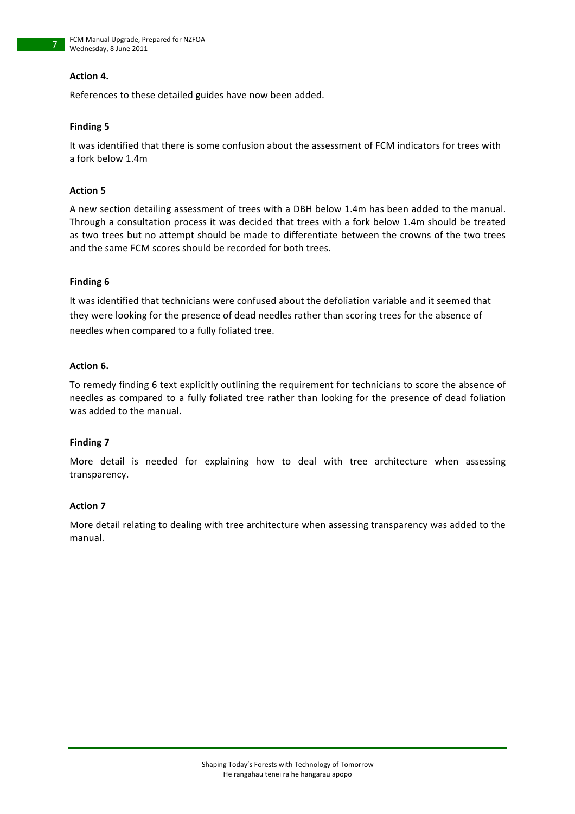### Action 4.

7

References to these detailed guides have now been added.

### **Finding 5**

It was identified that there is some confusion about the assessment of FCM indicators for trees with a fork helow 1.4m

### Action 5

A new section detailing assessment of trees with a DBH below 1.4m has been added to the manual. Through a consultation process it was decided that trees with a fork below 1.4m should be treated as two trees but no attempt should be made to differentiate between the crowns of the two trees and the same FCM scores should be recorded for both trees.

### **Finding 6**

It was identified that technicians were confused about the defoliation variable and it seemed that they were looking for the presence of dead needles rather than scoring trees for the absence of needles when compared to a fully foliated tree.

### Action 6.

To remedy finding 6 text explicitly outlining the requirement for technicians to score the absence of needles as compared to a fully foliated tree rather than looking for the presence of dead foliation was added to the manual.

### **Finding 7**

More detail is needed for explaining how to deal with tree architecture when assessing transparency.

### Action 7

More detail relating to dealing with tree architecture when assessing transparency was added to the manual.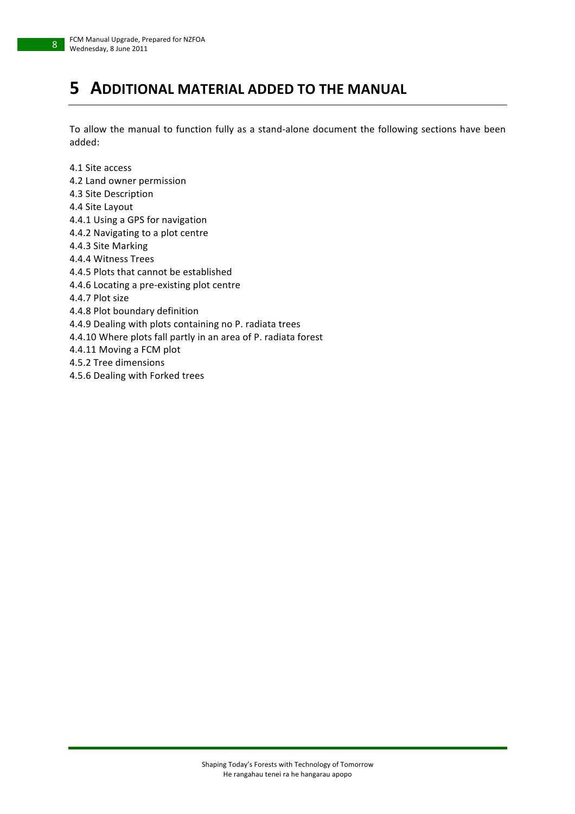### **5 ADDITIONAL MATERIAL ADDED TO THE MANUAL**

To allow the manual to function fully as a stand-alone document the following sections have been added:

4.1 Site access 4.2 Land owner permission 4.3 Site Description 4.4 Site Lavout 4.4.1 Using a GPS for navigation 4.4.2 Navigating to a plot centre 4.4.3 Site Marking 4.4.4 Witness Trees 4.4.5 Plots that cannot be established 4.4.6 Locating a pre-existing plot centre 4.4.7 Plot size 4.4.8 Plot boundary definition 4.4.9 Dealing with plots containing no P. radiata trees 4.4.10 Where plots fall partly in an area of P. radiata forest 4.4.11 Moving a FCM plot 4.5.2 Tree dimensions 4.5.6 Dealing with Forked trees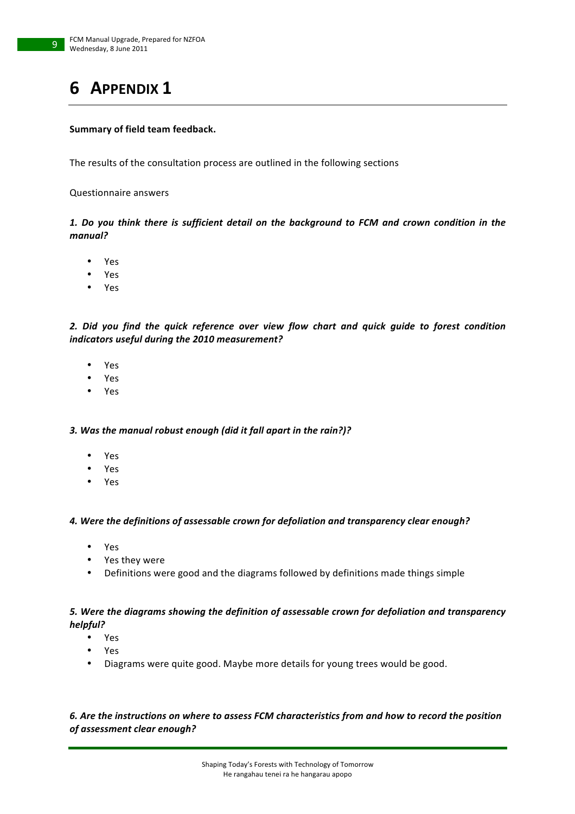# **6 APPENDIX 1**

### **Summary of field team feedback.**

The results of the consultation process are outlined in the following sections

Questionnaire!answers

1. Do you think there is sufficient detail on the background to FCM and crown condition in the *manual?*

- Yes!
- Yes
- Yes

2. Did you find the quick reference over view flow chart and quick guide to forest condition indicators useful during the 2010 measurement?

- Yes
- Yes
- Yes

### 3. Was the manual robust enough (did it fall apart in the rain?)?

- Yes!
- Yes
- Yes

#### 4. Were the definitions of assessable crown for defoliation and transparency clear enough?

- Yes
- Yes they were
- Definitions were good and the diagrams followed by definitions made things simple

### 5. Were the diagrams showing the definition of assessable crown for defoliation and transparency *helpful?*

- Yes
- Yes
- Diagrams were quite good. Maybe more details for young trees would be good.

6. Are the instructions on where to assess FCM characteristics from and how to record the position of assessment clear enough?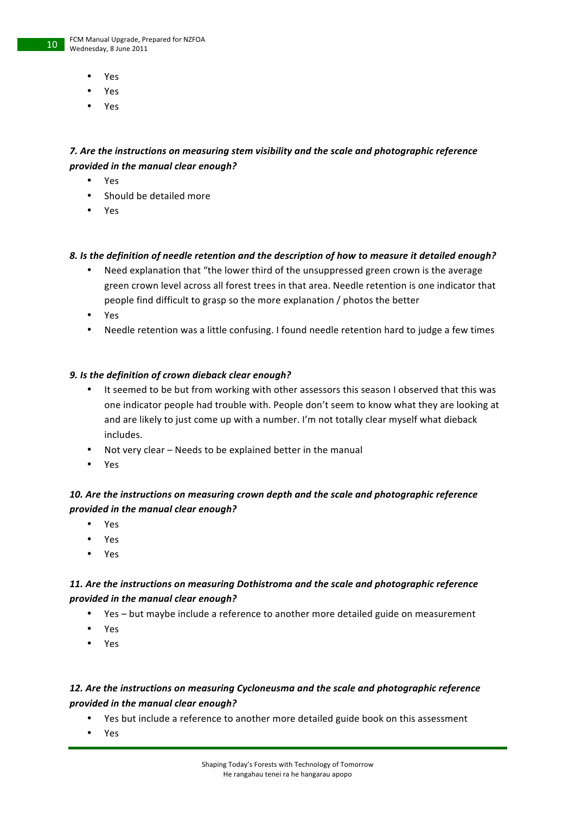- Yes
- Yes
- Yes

### *7. Are the instructions on measuring stem visibility and the scale and photographic reference provided in the manual clear enough?*

- Yes
- Should be detailed more
- Yes

### 8. Is the definition of needle retention and the description of how to measure it detailed enough?

- Need explanation that "the lower third of the unsuppressed green crown is the average green crown level across all forest trees in that area. Needle retention is one indicator that people find difficult to grasp so the more explanation / photos the better
- Yes
- Needle retention was a little confusing. I found needle retention hard to judge a few times

### **9. Is the definition of crown dieback clear enough?**

- It seemed to be but from working with other assessors this season I observed that this was one indicator people had trouble with. People don't seem to know what they are looking at and are likely to just come up with a number. I'm not totally clear myself what dieback includes.
- Not very clear Needs to be explained better in the manual
- Yes

### 10. Are the instructions on measuring crown depth and the scale and photographic reference *provided in the manual clear enough?*

- Yes
- Yes
- Yes

### 11. Are the instructions on measuring Dothistroma and the scale and photographic reference *provided in the manual clear enough?*

- Yes but maybe include a reference to another more detailed guide on measurement
- Yes
- Yes

### 12. Are the instructions on measuring Cycloneusma and the scale and photographic reference *provided in the manual clear enough?*

- Yes but include a reference to another more detailed guide book on this assessment
- Yes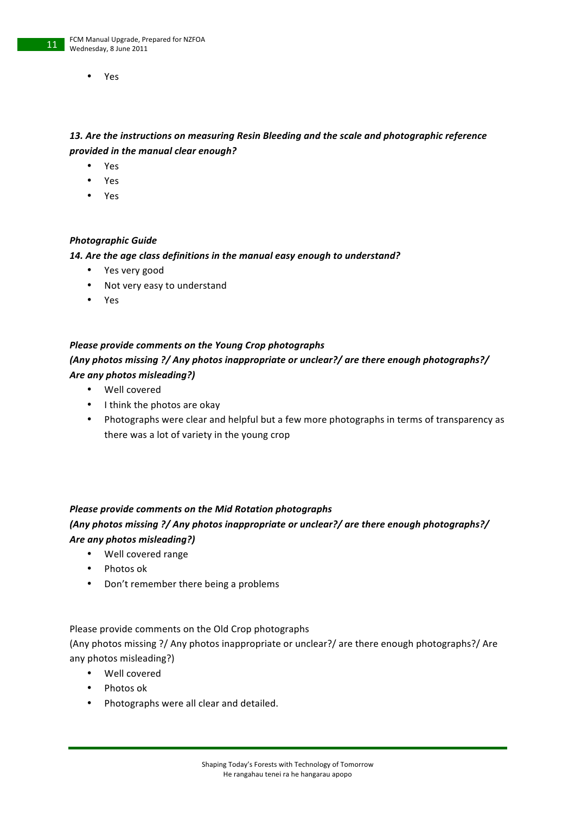• Yes

13. Are the instructions on measuring Resin Bleeding and the scale and photographic reference *provided in the manual clear enough?* 

- Yes
- Yes
- Yes

### *Photographic!Guide*

14. Are the age class definitions in the manual easy enough to understand?

- Yes very good
- Not very easy to understand
- Yes

### *Please provide comments on the Young Crop photographs*

### *(Any photos missing ?/ Any photos inappropriate or unclear?/ are there enough photographs?/* Are any photos misleading?)

- Well covered
- I think the photos are okay
- Photographs were clear and helpful but a few more photographs in terms of transparency as there was a lot of variety in the young crop

### *Please provide comments on the Mid Rotation photographs*

### *(Any photos missing ?/ Any photos inappropriate or unclear?/ are there enough photographs?/ Are!any!photos!misleading?)*

- Well covered range
- Photos ok
- Don't remember there being a problems

### Please provide comments on the Old Crop photographs

(Any photos missing ?/ Any photos inappropriate or unclear?/ are there enough photographs?/ Are any photos misleading?)

- Well covered
- Photos ok
- Photographs were all clear and detailed.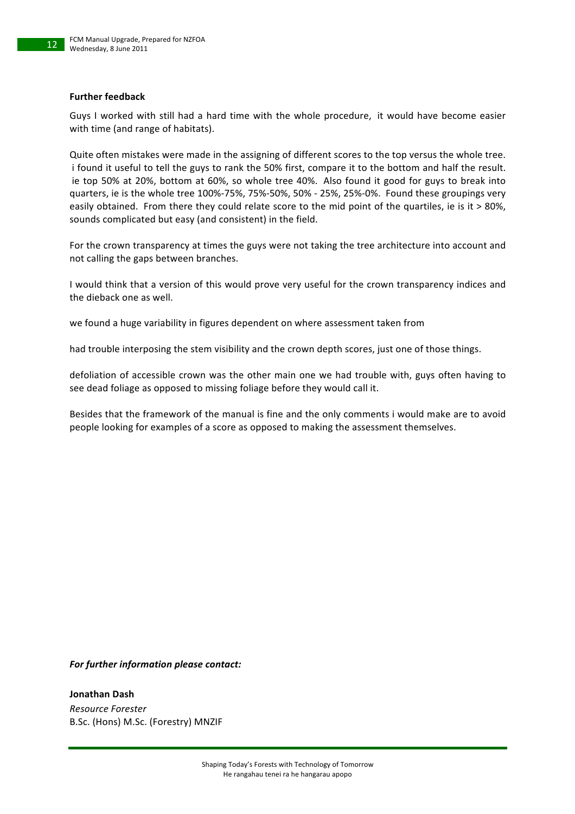### **Further!feedback**

Guys I worked with still had a hard time with the whole procedure, it would have become easier with time (and range of habitats).

Quite often mistakes were made in the assigning of different scores to the top versus the whole tree. i found it useful to tell the guys to rank the 50% first, compare it to the bottom and half the result. ie top 50% at 20%, bottom at 60%, so whole tree 40%. Also found it good for guys to break into quarters, ie is the whole tree 100%-75%, 75%-50%, 50% - 25%, 25%-0%. Found these groupings very easily obtained. From there they could relate score to the mid point of the quartiles, ie is it > 80%, sounds complicated but easy (and consistent) in the field.

For the crown transparency at times the guys were not taking the tree architecture into account and not calling the gaps between branches.

I would think that a version of this would prove very useful for the crown transparency indices and the dieback one as well.

we found a huge variability in figures dependent on where assessment taken from

had trouble interposing the stem visibility and the crown depth scores, just one of those things.

defoliation of accessible crown was the other main one we had trouble with, guys often having to see dead foliage as opposed to missing foliage before they would call it.

Besides that the framework of the manual is fine and the only comments i would make are to avoid people looking for examples of a score as opposed to making the assessment themselves.

*For further information please contact:* 

**Jonathan!Dash** *Resource(Forester* B.Sc. (Hons) M.Sc. (Forestry) MNZIF